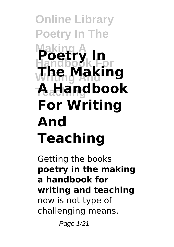**Online Library Poetry In The Making A Handbook For Writing And The Making Teaching A Handbook Poetry In For Writing And Teaching**

Getting the books **poetry in the making a handbook for writing and teaching** now is not type of challenging means.

Page 1/21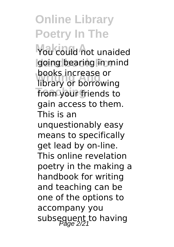You could not unaided going bearing in mind **BOOKS INCREASE OF**<br>Iibrary or borrowing **from your friends to** books increase or gain access to them. This is an unquestionably easy means to specifically get lead by on-line. This online revelation poetry in the making a handbook for writing and teaching can be one of the options to accompany you subsequent to having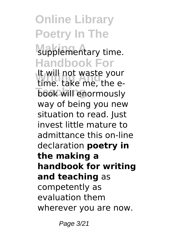### supplementary time. **Handbook For**

**Writing And** time. take me, the e**book will enormously** It will not waste your way of being you new situation to read. Just invest little mature to admittance this on-line declaration **poetry in the making a handbook for writing and teaching** as competently as evaluation them wherever you are now.

Page 3/21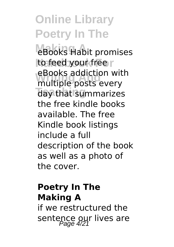eBooks Habit promises to feed your free ebooks addiction wite<br>multiple posts every day that summarizes eBooks addiction with the free kindle books available. The free Kindle book listings include a full description of the book as well as a photo of the cover.

### **Poetry In The Making A**

if we restructured the sentence our lives are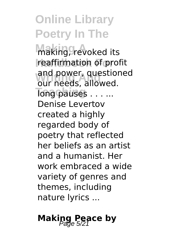**Making A** making, revoked its **reaffirmation of profit** and power, question<br>our needs, allowed. **Tong pauses . . . ...** and power, questioned Denise Levertov created a highly regarded body of poetry that reflected her beliefs as an artist and a humanist. Her work embraced a wide variety of genres and themes, including nature lyrics ...

### **Making Peace by**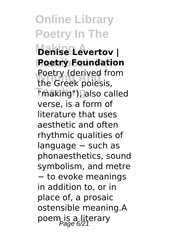**Online Library Poetry In The Making A Denise Levertov | Poetry Foundation** Poetry (derived in<br>the Greek poiesis, **Teaching** "making"), also called Poetry (derived from verse, is a form of literature that uses aesthetic and often rhythmic qualities of language − such as phonaesthetics, sound symbolism, and metre − to evoke meanings in addition to, or in place of, a prosaic ostensible meaning.A poem is a literary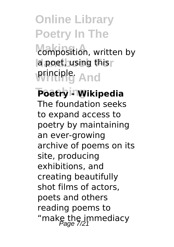composition, written by **a poet, using this principle.** And

#### **Teaching Poetry - Wikipedia** The foundation seeks

to expand access to poetry by maintaining an ever-growing archive of poems on its site, producing exhibitions, and creating beautifully shot films of actors, poets and others reading poems to "make the immediacy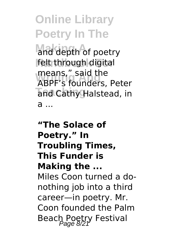and depth of poetry **Handbook For** felt through digital **means,"** said the and Cathy Halstead, in ABPF's founders, Peter a ...

**"The Solace of Poetry." In Troubling Times, This Funder is Making the ...** Miles Coon turned a donothing job into a third career—in poetry. Mr. Coon founded the Palm Beach Poetry Festival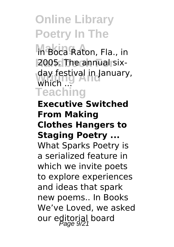**Making A** in Boca Raton, Fla., in **2005. The annual six**day festival in January,<br>Which **Teaching** which ...

**Executive Switched From Making Clothes Hangers to Staging Poetry ...** What Sparks Poetry is a serialized feature in which we invite poets to explore experiences and ideas that spark new poems.. In Books We've Loved, we asked our editorial board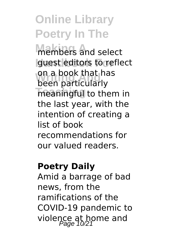**Members** and select **guest editors to reflect** on a book that he<br>been particularly **Teaching** meaningful to them in on a book that has the last year, with the intention of creating a list of book recommendations for our valued readers.

#### **Poetry Daily**

Amid a barrage of bad news, from the ramifications of the COVID-19 pandemic to violence at home and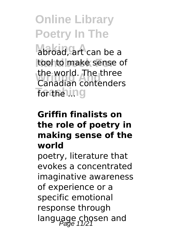**Making A** abroad, art can be a tool to make sense of **Writing And** Canadian contenders **Tor the ling** the world. The three

#### **Griffin finalists on the role of poetry in making sense of the world**

poetry, literature that evokes a concentrated imaginative awareness of experience or a specific emotional response through language chosen and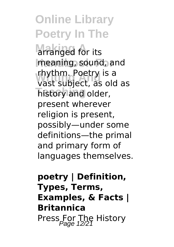arranged for its **Handbook For** meaning, sound, and **Writing And** vast subject, as old as **Tistory and older,** rhythm. Poetry is a present wherever religion is present, possibly—under some definitions—the primal and primary form of languages themselves.

### **poetry | Definition, Types, Terms, Examples, & Facts | Britannica** Press For The History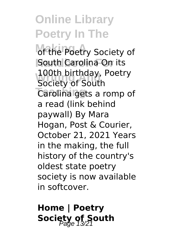of the Poetry Society of **South Carolina On its 100th birthday, Poetry**<br>Society of South **Teaching** Carolina gets a romp of Society of South a read (link behind paywall) By Mara Hogan, Post & Courier, October 21, 2021 Years in the making, the full history of the country's oldest state poetry society is now available in softcover.

**Home | Poetry Society of South**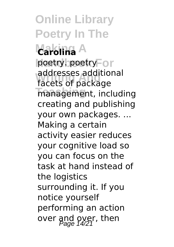**Online Library Poetry In The Making A Carolina** poetry. poetry<sup>F</sup>or addresses addition<br>facets of package management, including addresses additional creating and publishing your own packages. ... Making a certain activity easier reduces your cognitive load so you can focus on the task at hand instead of the logistics surrounding it. If you notice yourself performing an action over and over, then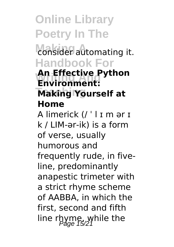**Making A** consider automating it. **Handbook For**

#### **Writing And Environment: Making Yourself at An Effective Python Home**

A limerick (/ ˈ l ɪ m ər ɪ k / LIM-ər-ik) is a form of verse, usually humorous and frequently rude, in fiveline, predominantly anapestic trimeter with a strict rhyme scheme of AABBA, in which the first, second and fifth line rhyme, while the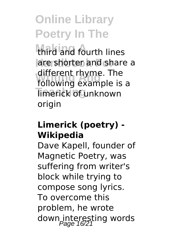third and fourth lines are shorten and share a amerent rrigine. The<br>following example is a **Timerick of unknown** different rhyme. The origin

#### **Limerick (poetry) - Wikipedia**

Dave Kapell, founder of Magnetic Poetry, was suffering from writer's block while trying to compose song lyrics. To overcome this problem, he wrote down interesting words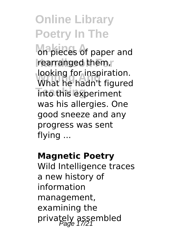**Making A** paper and rearranged them, **looking for inspiration.**<br>What he hadn't figure **Into this experiment** What he hadn't figured was his allergies. One good sneeze and any progress was sent flying ...

#### **Magnetic Poetry**

Wild Intelligence traces a new history of information management, examining the privately assembled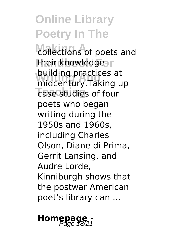collections of poets and their knowledge-**Dunaing practices at**<br>midcentury.Taking up **Tase studies of four** building practices at poets who began writing during the 1950s and 1960s, including Charles Olson, Diane di Prima, Gerrit Lansing, and Audre Lorde, Kinniburgh shows that the postwar American poet's library can ...

## **Homepage -**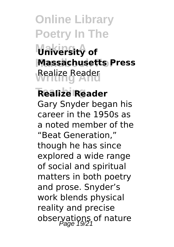**Online Library Poetry In The Making A University of Massachusetts Press Realize Reader** 

**Teaching Realize Reader** Gary Snyder began his career in the 1950s as a noted member of the "Beat Generation," though he has since explored a wide range of social and spiritual matters in both poetry and prose. Snyder's work blends physical reality and precise observations of nature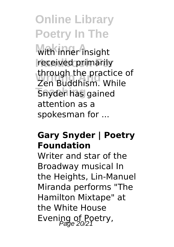**Making A** with inner insight **received primarily Writing And** Zen Buddhism. While **Snyder has gained** through the practice of attention as a spokesman for ...

#### **Gary Snyder | Poetry Foundation**

Writer and star of the Broadway musical In the Heights, Lin-Manuel Miranda performs "The Hamilton Mixtape" at the White House Evening of Poetry,